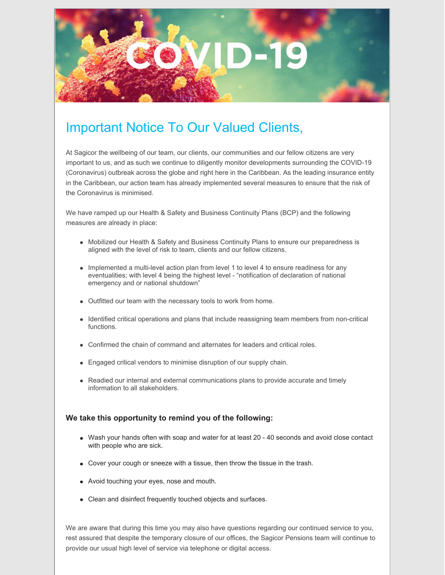

# Important Notice To Our Valued Clients,

At Sagicor the wellbeing of our team, our clients, our communities and our fellow citizens are very important to us, and as such we continue to diligently monitor developments surrounding the COVID-19 (Coronavirus) outbreak across the globe and right here in the Caribbean. As the leading insurance entity in the Caribbean, our action team has already implemented several measures to ensure that the risk of the Coronavirus is minimised.

We have ramped up our Health & Safety and Business Continuity Plans (BCP) and the following measures are already in place:

- Mobilized our Health & Safety and Business Continuity Plans to ensure our preparedness is aligned with the level of risk to team, clients and our fellow citizens.
- Implemented a multi-level action plan from level 1 to level 4 to ensure readiness for any eventualities; with level 4 being the highest level - "notification of declaration of national emergency and or national shutdown"
- Outfitted our team with the necessary tools to work from home.
- Identified critical operations and plans that include reassigning team members from non-critical functions.
- Confirmed the chain of command and alternates for leaders and critical roles.
- Engaged critical vendors to minimise disruption of our supply chain.
- Readied our internal and external communications plans to provide accurate and timely information to all stakeholders.

#### **We take this opportunity to remind you of the following:**

- Wash your hands often with soap and water for at least 20 40 seconds and avoid close contact with people who are sick.
- Cover your cough or sneeze with a tissue, then throw the tissue in the trash.
- Avoid touching your eyes, nose and mouth.
- Clean and disinfect frequently touched objects and surfaces.

We are aware that during this time you may also have questions regarding our continued service to you, rest assured that despite the temporary closure of our offices, the Sagicor Pensions team will continue to provide our usual high level of service via telephone or digital access.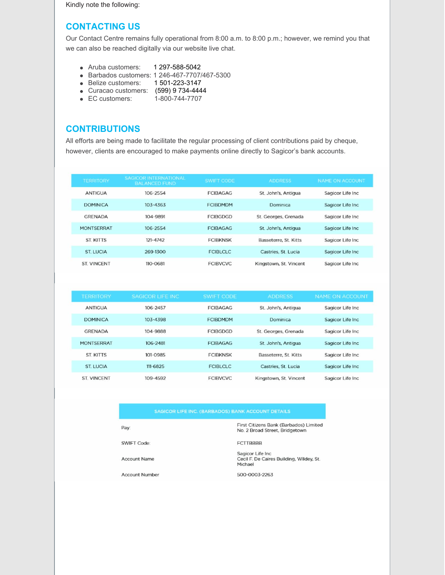Kindly note the following:

### **CONTACTING US**

Our Contact Centre remains fully operational from 8:00 a.m. to 8:00 p.m.; however, we remind you that we can also be reached digitally via our website live chat.

- Aruba customers: 1 297-588-5042
- Barbados customers: 1 246-467-7707/467-5300
- Belize customers: 1 501-223-3147
- Curacao customers: (599) 9 734-4444
- EC customers: 1-800-744-7707

# **CONTRIBUTIONS**

All efforts are being made to facilitate the regular processing of client contributions paid by cheque, however, clients are encouraged to make payments online directly to Sagicor's bank accounts.

| <b>TERRITORY</b>   | <b>SAGICOR INTERNATIONAL</b><br><b>BALANCED FUND</b> | <b>SWIFT CODE</b> | <b>ADDRESS</b>         | <b>NAME ON ACCOUNT</b> |
|--------------------|------------------------------------------------------|-------------------|------------------------|------------------------|
| <b>ANTIGUA</b>     | 106-2554                                             | <b>FCIBAGAG</b>   | St. John's, Antigua    | Sagicor Life Inc       |
| <b>DOMINICA</b>    | $103 - 4363$                                         | <b>FCIBDMDM</b>   | Dominica               | Sagicor Life Inc       |
| <b>GRENADA</b>     | 104-9891                                             | <b>FCIBGDGD</b>   | St. Georges, Grenada   | Sagicor Life Inc       |
| <b>MONTSERRAT</b>  | 106-2554                                             | <b>FCIBAGAG</b>   | St. John's, Antigua    | Sagicor Life Inc       |
| <b>ST KITTS</b>    | 121-4742                                             | <b>FCIBKNSK</b>   | Basseterre, St. Kitts  | Sagicor Life Inc       |
| ST LUCIA           | 269-1300                                             | <b>FCIBLCLC</b>   | Castries, St. Lucia    | Sagicor Life Inc       |
| <b>ST. VINCENT</b> | 110-0681                                             | <b>FCIBVCVC</b>   | Kingstown, St. Vincent | Sagicor Life Inc       |

| <b>TERRITORY</b>   | <b>SAGICOR LIFE INC</b> | <b>SWIFT CODE</b> | <b>ADDRESS</b>         | NAME ON ACCOUNT   |
|--------------------|-------------------------|-------------------|------------------------|-------------------|
| <b>ANTIGUA</b>     | 106-2457                | <b>FCIBAGAG</b>   | St. John's, Antigua    | Sagicor Life Inc  |
| <b>DOMINICA</b>    | 103-4398                | <b>FCIBDMDM</b>   | Dominica               | Sagicor Life Inc  |
| <b>GRENADA</b>     | 104-9888                | <b>FCIRGDGD</b>   | St. Georges, Grenada   | Sagicor Life Inc  |
| <b>MONTSERRAT</b>  | 106-2481                | <b>FCIBAGAG</b>   | St. John's, Antiqua    | Sagicor Life Inc. |
| <b>ST KITTS</b>    | 101-0985                | <b>FCIBKNSK</b>   | Basseterre, St. Kitts  | Sagicor Life Inc. |
| ST LUCIA           | $111 - 6825$            | <b>FCIBLCLC</b>   | Castries, St. Lucia    | Sagicor Life Inc  |
| <b>ST. VINCENT</b> | 109-4592                | <b>FCIBVCVC</b>   | Kingstown, St. Vincent | Sagicor Life Inc  |

| Pav:               | First Citizens Bank (Barbados) Limited<br>No. 2 Broad Street, Bridgetown |
|--------------------|--------------------------------------------------------------------------|
| <b>SWIFT Code:</b> | <b>FCTTBBBB</b>                                                          |
|                    | $P_1 = -1 - -1$ $P_2 = 1 - -1$                                           |

Sagicor Life Inc<br>Cecil F. De Caires Building, Wildey, St. Michael

**Account Number** 

**Account Name** 

500-0003-2263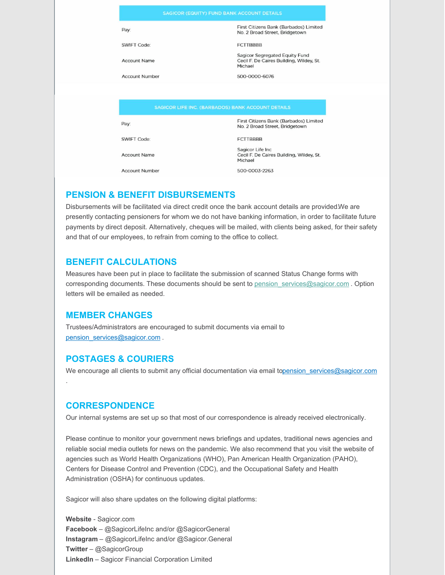|                       | <b>SAGICOR (EQUITY) FUND BANK ACCOUNT DETAILS</b>                                     |
|-----------------------|---------------------------------------------------------------------------------------|
| Pay:                  | First Citizens Bank (Barbados) Limited<br>No. 2 Broad Street, Bridgetown              |
| SWIFT Code:           | <b>FCTTBBBB</b>                                                                       |
| <b>Account Name</b>   | Sagicor Segregated Equity Fund<br>Cecil F. De Caires Building, Wildey, St.<br>Michael |
| <b>Account Number</b> | 500-0000-6076                                                                         |
|                       | <b>SAGICOR LIFE INC. (BARBADOS) BANK ACCOUNT DETAILS</b>                              |
| Pay:                  | First Citizens Bank (Barbados) Limited<br>No. 2 Broad Street, Bridgetown              |
| SWIFT Code:           | <b>FCTTBBBB</b>                                                                       |
| <b>Account Name</b>   | Sagicor Life Inc<br>Cecil F. De Caires Building, Wildey, St.<br>Michael               |
| <b>Account Number</b> | 500-0003-2263                                                                         |

# **PENSION & BENEFIT DISBURSEMENTS**

Disbursements will be facilitated via direct credit once the bank account details are provided.We are presently contacting pensioners for whom we do not have banking information, in order to facilitate future payments by direct deposit. Alternatively, cheques will be mailed, with clients being asked, for their safety and that of our employees, to refrain from coming to the office to collect.

# **BENEFIT CALCULATIONS**

Measures have been put in place to facilitate the submission of scanned Status Change forms with corresponding documents. These documents should be sent to pension services@sagicor.com . Option letters will be emailed as needed.

# **MEMBER CHANGES**

Trustees/Administrators are encouraged to submit documents via email to [pension\\_services@sagicor.com](mailto:pension_services@sagicor.com) .

# **POSTAGES & COURIERS**

We encourage all clients to submit any official documentation via email topension services@sagicor.com

# **CORRESPONDENCE**

.

Our internal systems are set up so that most of our correspondence is already received electronically.

Please continue to monitor your government news briefings and updates, traditional news agencies and reliable social media outlets for news on the pandemic. We also recommend that you visit the website of agencies such as World Health Organizations (WHO), Pan American Health Organization (PAHO), Centers for Disease Control and Prevention (CDC), and the Occupational Safety and Health Administration (OSHA) for continuous updates.

Sagicor will also share updates on the following digital platforms:

**Website** - Sagicor.com **Facebook** – @SagicorLifeInc and/or @SagicorGeneral **Instagram** – @SagicorLifeInc and/or @Sagicor.General **Twitter** – @SagicorGroup **LinkedIn** – Sagicor Financial Corporation Limited